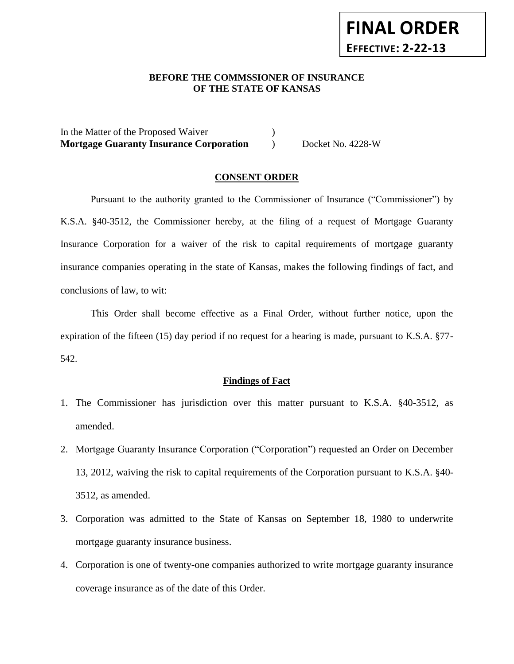# **BEFORE THE COMMSSIONER OF INSURANCE** *-12***OF THE STATE OF KANSAS**

**FINAL ORDER**

**EFFECTIVE: 2-22-13**

In the Matter of the Proposed Waiver (1) **Mortgage Guaranty Insurance Corporation** ) Docket No. 4228-W

#### **CONSENT ORDER**

Pursuant to the authority granted to the Commissioner of Insurance ("Commissioner") by K.S.A. §40-3512, the Commissioner hereby, at the filing of a request of Mortgage Guaranty Insurance Corporation for a waiver of the risk to capital requirements of mortgage guaranty insurance companies operating in the state of Kansas, makes the following findings of fact, and conclusions of law, to wit:

This Order shall become effective as a Final Order, without further notice, upon the expiration of the fifteen (15) day period if no request for a hearing is made, pursuant to K.S.A. §77- 542.

#### **Findings of Fact**

- 1. The Commissioner has jurisdiction over this matter pursuant to K.S.A. §40-3512, as amended.
- 2. Mortgage Guaranty Insurance Corporation ("Corporation") requested an Order on December 13, 2012, waiving the risk to capital requirements of the Corporation pursuant to K.S.A. §40- 3512, as amended.
- 3. Corporation was admitted to the State of Kansas on September 18, 1980 to underwrite mortgage guaranty insurance business.
- 4. Corporation is one of twenty-one companies authorized to write mortgage guaranty insurance coverage insurance as of the date of this Order.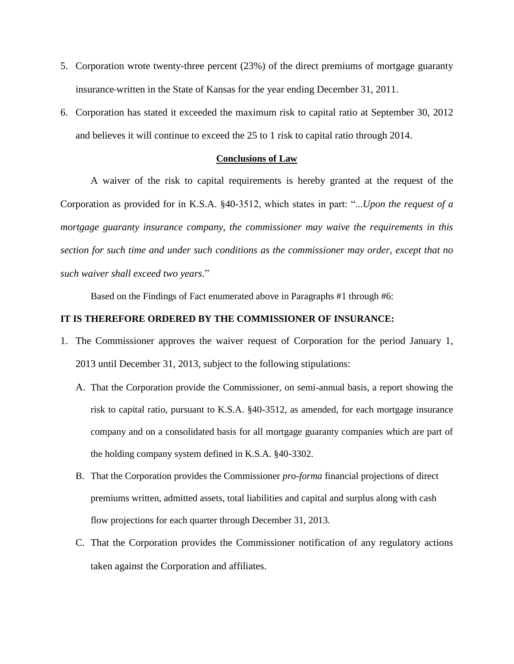- 5. Corporation wrote twenty-three percent (23%) of the direct premiums of mortgage guaranty insurance written in the State of Kansas for the year ending December 31, 2011.
- 6. Corporation has stated it exceeded the maximum risk to capital ratio at September 30, 2012 and believes it will continue to exceed the 25 to 1 risk to capital ratio through 2014.

#### **Conclusions of Law**

A waiver of the risk to capital requirements is hereby granted at the request of the Corporation as provided for in K.S.A. §40-3512, which states in part: "...*Upon the request of a mortgage guaranty insurance company, the commissioner may waive the requirements in this section for such time and under such conditions as the commissioner may order, except that no such waiver shall exceed two years*."

Based on the Findings of Fact enumerated above in Paragraphs #1 through #6:

#### **IT IS THEREFORE ORDERED BY THE COMMISSIONER OF INSURANCE:**

- 1. The Commissioner approves the waiver request of Corporation for the period January 1, 2013 until December 31, 2013, subject to the following stipulations:
	- A. That the Corporation provide the Commissioner, on semi-annual basis, a report showing the risk to capital ratio, pursuant to K.S.A. §40-3512, as amended, for each mortgage insurance company and on a consolidated basis for all mortgage guaranty companies which are part of the holding company system defined in K.S.A. §40-3302.
	- B. That the Corporation provides the Commissioner *pro-forma* financial projections of direct premiums written, admitted assets, total liabilities and capital and surplus along with cash flow projections for each quarter through December 31, 2013.
	- C. That the Corporation provides the Commissioner notification of any regulatory actions taken against the Corporation and affiliates.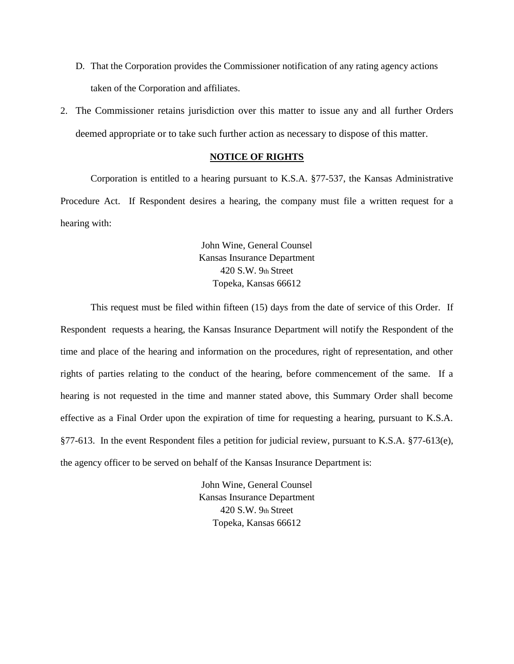- D. That the Corporation provides the Commissioner notification of any rating agency actions taken of the Corporation and affiliates.
- 2. The Commissioner retains jurisdiction over this matter to issue any and all further Orders deemed appropriate or to take such further action as necessary to dispose of this matter.

#### **NOTICE OF RIGHTS**

Corporation is entitled to a hearing pursuant to K.S.A. §77-537, the Kansas Administrative Procedure Act. If Respondent desires a hearing, the company must file a written request for a hearing with:

> John Wine, General Counsel Kansas Insurance Department 420 S.W. 9th Street Topeka, Kansas 66612

This request must be filed within fifteen (15) days from the date of service of this Order. If Respondent requests a hearing, the Kansas Insurance Department will notify the Respondent of the time and place of the hearing and information on the procedures, right of representation, and other rights of parties relating to the conduct of the hearing, before commencement of the same. If a hearing is not requested in the time and manner stated above, this Summary Order shall become effective as a Final Order upon the expiration of time for requesting a hearing, pursuant to K.S.A. §77-613. In the event Respondent files a petition for judicial review, pursuant to K.S.A. §77-613(e), the agency officer to be served on behalf of the Kansas Insurance Department is:

> John Wine, General Counsel Kansas Insurance Department 420 S.W. 9th Street Topeka, Kansas 66612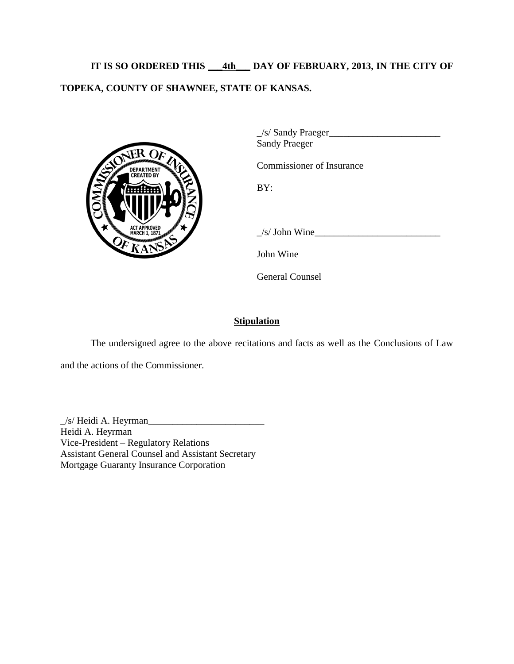**IT IS SO ORDERED THIS \_\_\_4th\_\_\_ DAY OF FEBRUARY, 2013, IN THE CITY OF TOPEKA, COUNTY OF SHAWNEE, STATE OF KANSAS.** 



 $\angle$ /s/ Sandy Praeger $\angle$ Sandy Praeger

Commissioner of Insurance

BY:

 $/s/$  John Wine

John Wine

General Counsel

## **Stipulation**

The undersigned agree to the above recitations and facts as well as the Conclusions of Law

and the actions of the Commissioner.

 $\angle$ /s/ Heidi A. Heyrman $\angle$ Heidi A. Heyrman Vice-President – Regulatory Relations Assistant General Counsel and Assistant Secretary Mortgage Guaranty Insurance Corporation